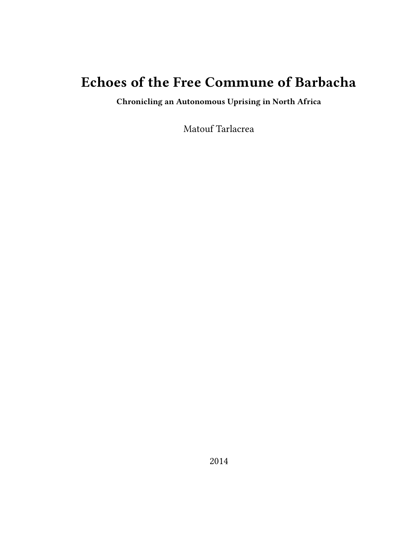# **Echoes of the Free Commune of Barbacha**

**Chronicling an Autonomous Uprising in North Africa**

Matouf Tarlacrea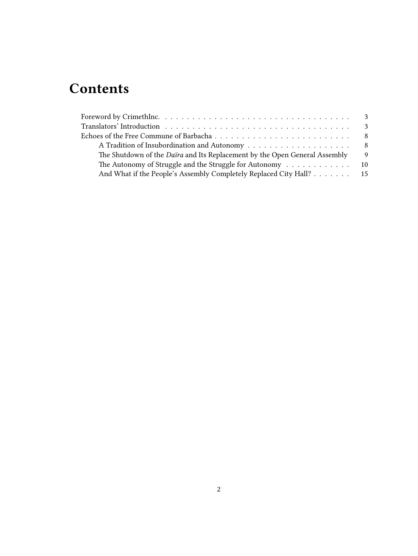# **Contents**

| Translators' Introduction $\ldots \ldots \ldots \ldots \ldots \ldots \ldots \ldots \ldots \ldots \ldots$ |     |
|----------------------------------------------------------------------------------------------------------|-----|
|                                                                                                          |     |
|                                                                                                          | - 8 |
| The Shutdown of the <i>Daïra</i> and Its Replacement by the Open General Assembly                        | - 9 |
| The Autonomy of Struggle and the Struggle for Autonomy 10                                                |     |
| And What if the People's Assembly Completely Replaced City Hall? 15                                      |     |
|                                                                                                          |     |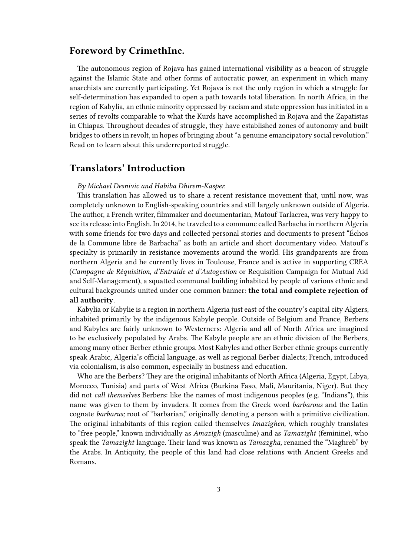## <span id="page-2-0"></span>**Foreword by CrimethInc.**

The autonomous region of Rojava has gained international visibility as a beacon of struggle against the Islamic State and other forms of autocratic power, an experiment in which many anarchists are currently participating. Yet Rojava is not the only region in which a struggle for self-determination has expanded to open a path towards total liberation. In north Africa, in the region of Kabylia, an ethnic minority oppressed by racism and state oppression has initiated in a series of revolts comparable to what the Kurds have accomplished in Rojava and the Zapatistas in Chiapas. Throughout decades of struggle, they have established zones of autonomy and built bridges to others in revolt, in hopes of bringing about "a genuine emancipatory social revolution." Read on to learn about this underreported struggle.

## <span id="page-2-1"></span>**Translators' Introduction**

#### *By Michael Desnivic and Habiba Dhirem-Kasper.*

This translation has allowed us to share a recent resistance movement that, until now, was completely unknown to English-speaking countries and still largely unknown outside of Algeria. The author, a French writer, filmmaker and documentarian, Matouf Tarlacrea, was very happy to see its release into English. In 2014, he traveled to a commune called Barbacha in northern Algeria with some friends for two days and collected personal stories and documents to present "Échos de la Commune libre de Barbacha" as both an article and short documentary video. Matouf's specialty is primarily in resistance movements around the world. His grandparents are from northern Algeria and he currently lives in Toulouse, France and is active in supporting CREA (*Campagne de Réquisition, d'Entraide et d'Autogestion* or Requisition Campaign for Mutual Aid and Self-Management), a squatted communal building inhabited by people of various ethnic and cultural backgrounds united under one common banner: **the total and complete rejection of all authority**.

Kabylia or Kabylie is a region in northern Algeria just east of the country's capital city Algiers, inhabited primarily by the indigenous Kabyle people. Outside of Belgium and France, Berbers and Kabyles are fairly unknown to Westerners: Algeria and all of North Africa are imagined to be exclusively populated by Arabs. The Kabyle people are an ethnic division of the Berbers, among many other Berber ethnic groups. Most Kabyles and other Berber ethnic groups currently speak Arabic, Algeria's official language, as well as regional Berber dialects; French, introduced via colonialism, is also common, especially in business and education.

Who are the Berbers? They are the original inhabitants of North Africa (Algeria, Egypt, Libya, Morocco, Tunisia) and parts of West Africa (Burkina Faso, Mali, Mauritania, Niger). But they did not *call themselves* Berbers: like the names of most indigenous peoples (e.g. "Indians"), this name was given to them by invaders. It comes from the Greek word *barbarous* and the Latin cognate *barbarus;* root of "barbarian," originally denoting a person with a primitive civilization. The original inhabitants of this region called themselves *Imazighen,* which roughly translates to "free people," known individually as *Amazigh* (masculine) and as *Tamazight* (feminine), who speak the *Tamazight* language. Their land was known as *Tamazgha,* renamed the "Maghreb" by the Arabs. In Antiquity, the people of this land had close relations with Ancient Greeks and Romans.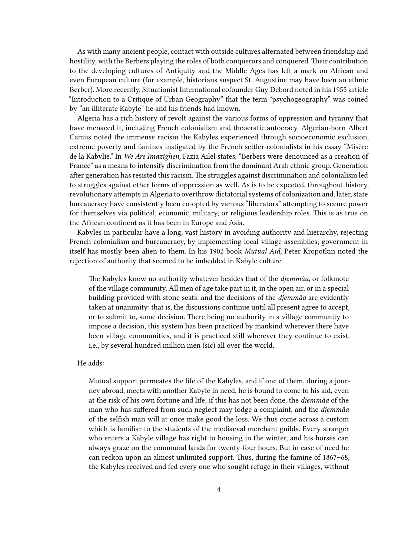As with many ancient people, contact with outside cultures alternated between friendship and hostility, with the Berbers playing the roles of both conquerors and conquered. Their contribution to the developing cultures of Antiquity and the Middle Ages has left a mark on African and even European culture (for example, historians suspect St. Augustine may have been an ethnic Berber). More recently, Situationist International cofounder Guy Debord noted in his 1955 article "Introduction to a Critique of Urban Geography" that the term "psychogeography" was coined by "an illiterate Kabyle" he and his friends had known.

Algeria has a rich history of revolt against the various forms of oppression and tyranny that have menaced it, including French colonialism and theocratic autocracy. Algerian-born Albert Camus noted the immense racism the Kabyles experienced through socioeconomic exclusion, extreme poverty and famines instigated by the French settler-colonialists in his essay "Misère de la Kabylie." In *We Are Imazighen,* Fazia Ailel states, "Berbers were denounced as a creation of France" as a means to intensify discrimination from the dominant Arab ethnic group. Generation after generation has resisted this racism. The struggles against discrimination and colonialism led to struggles against other forms of oppression as well. As is to be expected, throughout history, revolutionary attempts in Algeria to overthrow dictatorial systems of colonization and, later, state bureaucracy have consistently been co-opted by various "liberators" attempting to secure power for themselves via political, economic, military, or religious leadership roles. This is as true on the African continent as it has been in Europe and Asia.

Kabyles in particular have a long, vast history in avoiding authority and hierarchy, rejecting French colonialism and bureaucracy, by implementing local village assemblies; government in itself has mostly been alien to them. In his 1902 book *Mutual Aid,* Peter Kropotkin noted the rejection of authority that seemed to be imbedded in Kabyle culture.

The Kabyles know no authority whatever besides that of the *djemmâa,* or folkmote of the village community. All men of age take part in it, in the open air, or in a special building provided with stone seats. and the decisions of the *djemmâa* are evidently taken at unanimity: that is, the discussions continue until all present agree to accept, or to submit to, some decision. There being no authority in a village community to impose a decision, this system has been practiced by mankind wherever there have been village communities, and it is practiced still wherever they continue to exist, i.e., by several hundred million men (sic) all over the world.

#### He adds:

Mutual support permeates the life of the Kabyles, and if one of them, during a journey abroad, meets with another Kabyle in need, he is bound to come to his aid, even at the risk of his own fortune and life; if this has not been done, the *djemmâa* of the man who has suffered from such neglect may lodge a complaint, and the *djemmâa* of the selfish man will at once make good the loss. We thus come across a custom which is familiar to the students of the mediaeval merchant guilds. Every stranger who enters a Kabyle village has right to housing in the winter, and his horses can always graze on the communal lands for twenty-four hours. But in case of need he can reckon upon an almost unlimited support. Thus, during the famine of 1867–68, the Kabyles received and fed every one who sought refuge in their villages, without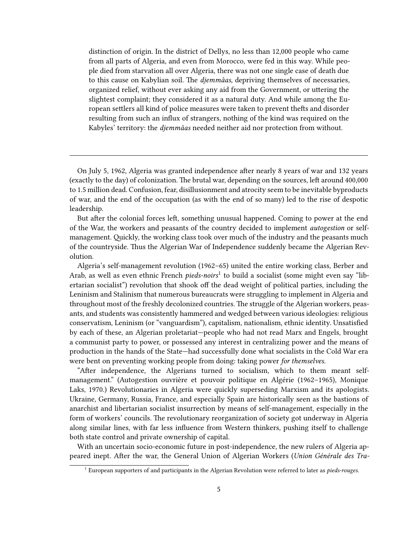distinction of origin. In the district of Dellys, no less than 12,000 people who came from all parts of Algeria, and even from Morocco, were fed in this way. While people died from starvation all over Algeria, there was not one single case of death due to this cause on Kabylian soil. The *djemmâas,* depriving themselves of necessaries, organized relief, without ever asking any aid from the Government, or uttering the slightest complaint; they considered it as a natural duty. And while among the European settlers all kind of police measures were taken to prevent thefts and disorder resulting from such an influx of strangers, nothing of the kind was required on the Kabyles' territory: the *djemmâas* needed neither aid nor protection from without.

On July 5, 1962, Algeria was granted independence after nearly 8 years of war and 132 years (exactly to the day) of colonization. The brutal war, depending on the sources, left around 400,000 to 1.5 million dead. Confusion, fear, disillusionment and atrocity seem to be inevitable byproducts of war, and the end of the occupation (as with the end of so many) led to the rise of despotic leadership.

But after the colonial forces left, something unusual happened. Coming to power at the end of the War, the workers and peasants of the country decided to implement *autogestion* or selfmanagement. Quickly, the working class took over much of the industry and the peasants much of the countryside. Thus the Algerian War of Independence suddenly became the Algerian Revolution.

Algeria's self-management revolution (1962–65) united the entire working class, Berber and Arab, as well as even ethnic French *pieds-noirs*<sup>1</sup> to build a socialist (some might even say "libertarian socialist") revolution that shook off the dead weight of political parties, including the Leninism and Stalinism that numerous bureaucrats were struggling to implement in Algeria and throughout most of the freshly decolonized countries. The struggle of the Algerian workers, peasants, and students was consistently hammered and wedged between various ideologies: religious conservatism, Leninism (or "vanguardism"), capitalism, nationalism, ethnic identity. Unsatisfied by each of these, an Algerian proletariat—people who had not read Marx and Engels, brought a communist party to power, or possessed any interest in centralizing power and the means of production in the hands of the State—had successfully done what socialists in the Cold War era were bent on preventing working people from doing: taking power *for themselves.*

"After independence, the Algerians turned to socialism, which to them meant selfmanagement." (Autogestion ouvrière et pouvoir politique en Algérie (1962–1965), Monique Laks, 1970.) Revolutionaries in Algeria were quickly superseding Marxism and its apologists. Ukraine, Germany, Russia, France, and especially Spain are historically seen as the bastions of anarchist and libertarian socialist insurrection by means of self-management, especially in the form of workers' councils. The revolutionary reorganization of society got underway in Algeria along similar lines, with far less influence from Western thinkers, pushing itself to challenge both state control and private ownership of capital.

With an uncertain socio-economic future in post-independence, the new rulers of Algeria appeared inept. After the war, the General Union of Algerian Workers (*Union Générale des Tra-*

<sup>1</sup> European supporters of and participants in the Algerian Revolution were referred to later as *pieds-rouges.*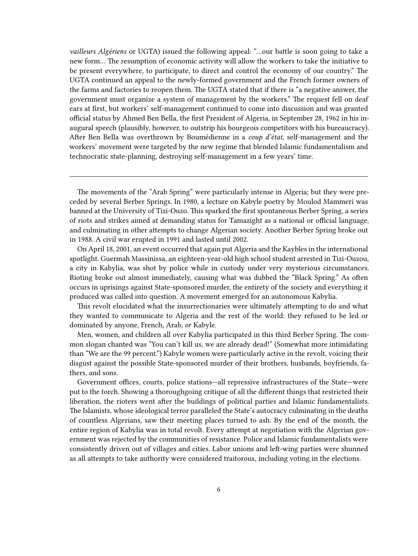*vailleurs Algériens* or UGTA) issued the following appeal: "…our battle is soon going to take a new form… The resumption of economic activity will allow the workers to take the initiative to be present everywhere, to participate, to direct and control the economy of our country." The UGTA continued an appeal to the newly-formed government and the French former owners of the farms and factories to reopen them. The UGTA stated that if there is "a negative answer, the government must organize a system of management by the workers." The request fell on deaf ears at first, but workers' self-management continued to come into discussion and was granted official status by Ahmed Ben Bella, the first President of Algeria, in September 28, 1962 in his inaugural speech (plausibly, however, to outstrip his bourgeois competitors with his bureaucracy). After Ben Bella was overthrown by Boumédienne in a *coup d'état,* self-management and the workers' movement were targeted by the new regime that blended Islamic fundamentalism and technocratic state-planning, destroying self-management in a few years' time.

The movements of the "Arab Spring" were particularly intense in Algeria; but they were preceded by several Berber Springs. In 1980, a lecture on Kabyle poetry by Moulod Mammeri was banned at the University of Tizi-Ouzo. This sparked the first spontaneous Berber Spring, a series of riots and strikes aimed at demanding status for Tamazight as a national or official language, and culminating in other attempts to change Algerian society. Another Berber Spring broke out in 1988. A civil war erupted in 1991 and lasted until 2002.

On April 18, 2001, an event occurred that again put Algeria and the Kaybles in the international spotlight. Guermah Massinissa, an eighteen-year-old high school student arrested in Tizi-Ouzou, a city in Kabylia, was shot by police while in custody under very mysterious circumstances. Rioting broke out almost immediately, causing what was dubbed the "Black Spring." As often occurs in uprisings against State-sponsored murder, the entirety of the society and everything it produced was called into question. A movement emerged for an autonomous Kabylia.

This revolt elucidated what the insurrectionaries were ultimately attempting to do and what they wanted to communicate to Algeria and the rest of the world: they refused to be led or dominated by anyone, French, Arab, *or* Kabyle.

Men, women, and children all over Kabylia participated in this third Berber Spring. The common slogan chanted was "You can't kill us, we are already dead!" (Somewhat more intimidating than "We are the 99 percent.") Kabyle women were particularly active in the revolt, voicing their disgust against the possible State-sponsored murder of their brothers, husbands, boyfriends, fathers, and sons.

Government offices, courts, police stations—all repressive infrastructures of the State—were put to the torch. Showing a thoroughgoing critique of all the different things that restricted their liberation, the rioters went after the buildings of political parties and Islamic fundamentalists. The Islamists, whose ideological terror paralleled the State's autocracy culminating in the deaths of countless Algerians, saw their meeting places turned to ash. By the end of the month, the entire region of Kabylia was in total revolt. Every attempt at negotiation with the Algerian government was rejected by the communities of resistance. Police and Islamic fundamentalists were consistently driven out of villages and cities. Labor unions and left-wing parties were shunned as all attempts to take authority were considered traitorous, including voting in the elections.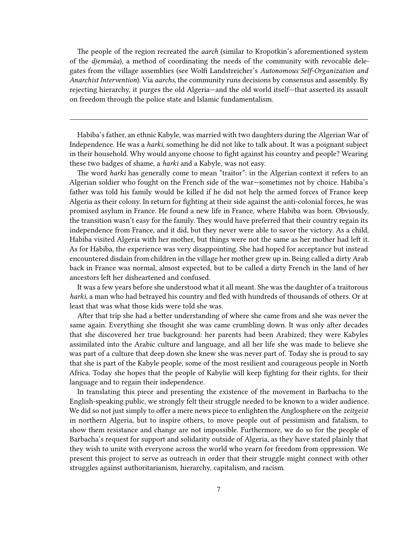The people of the region recreated the *aarch* (similar to Kropotkin's aforementioned system of the *djemmâa*), a method of coordinating the needs of the community with revocable delegates from the village assemblies (see Wolfi Landstreicher's *Autonomous Self-Organization and Anarchist Intervention*). Via *aarchs,* the community runs decisions by consensus and assembly. By rejecting hierarchy, it purges the old Algeria—and the old world itself—that asserted its assault on freedom through the police state and Islamic fundamentalism.

Habiba's father, an ethnic Kabyle, was married with two daughters during the Algerian War of Independence. He was a *harki,* something he did not like to talk about. It was a poignant subject in their household. Why would anyone choose to fight against his country and people? Wearing these two badges of shame, a *harki* and a Kabyle, was not easy.

The word *harki* has generally come to mean "traitor": in the Algerian context it refers to an Algerian soldier who fought on the French side of the war—sometimes not by choice. Habiba's father was told his family would be killed if he did not help the armed forces of France keep Algeria as their colony. In return for fighting at their side against the anti-colonial forces, he was promised asylum in France. He found a new life in France, where Habiba was born. Obviously, the transition wasn't easy for the family. They would have preferred that their country regain its independence from France, and it did, but they never were able to savor the victory. As a child, Habiba visited Algeria with her mother, but things were not the same as her mother had left it. As for Habiba, the experience was very disappointing. She had hoped for acceptance but instead encountered disdain from children in the village her mother grew up in. Being called a dirty Arab back in France was normal, almost expected, but to be called a dirty French in the land of her ancestors left her disheartened and confused.

It was a few years before she understood what it all meant. She was the daughter of a traitorous *harki,* a man who had betrayed his country and fled with hundreds of thousands of others. Or at least that was what those kids were told she was.

After that trip she had a better understanding of where she came from and she was never the same again. Everything she thought she was came crumbling down. It was only after decades that she discovered her true background: her parents had been Arabized; they were Kabyles assimilated into the Arabic culture and language, and all her life she was made to believe she was part of a culture that deep down she knew she was never part of. Today she is proud to say that she is part of the Kabyle people, some of the most resilient and courageous people in North Africa. Today she hopes that the people of Kabylie will keep fighting for their rights, for their language and to regain their independence.

In translating this piece and presenting the existence of the movement in Barbacha to the English-speaking public, we strongly felt their struggle needed to be known to a wider audience. We did so not just simply to offer a mere news piece to enlighten the Anglosphere on the *zeitgeist* in northern Algeria, but to inspire others, to move people out of pessimism and fatalism, to show them resistance and change are not impossible. Furthermore, we do so for the people of Barbacha's request for support and solidarity outside of Algeria, as they have stated plainly that they wish to unite with everyone across the world who yearn for freedom from oppression. We present this project to serve as outreach in order that their struggle might connect with other struggles against authoritarianism, hierarchy, capitalism, and racism.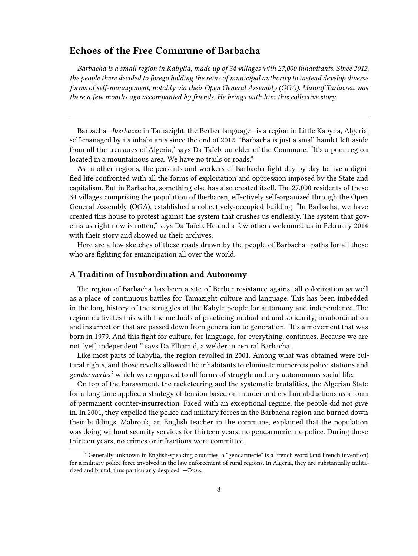## <span id="page-7-0"></span>**Echoes of the Free Commune of Barbacha**

*Barbacha is a small region in Kabylia, made up of 34 villages with 27,000 inhabitants. Since 2012, the people there decided to forego holding the reins of municipal authority to instead develop diverse forms of self-management, notably via their Open General Assembly (OGA). Matouf Tarlacrea was there a few months ago accompanied by friends. He brings with him this collective story.*

Barbacha—*Iberbacen* in Tamazight, the Berber language—is a region in Little Kabylia, Algeria, self-managed by its inhabitants since the end of 2012. "Barbacha is just a small hamlet left aside from all the treasures of Algeria," says Da Taïeb, an elder of the Commune. "It's a poor region located in a mountainous area. We have no trails or roads."

As in other regions, the peasants and workers of Barbacha fight day by day to live a dignified life confronted with all the forms of exploitation and oppression imposed by the State and capitalism. But in Barbacha, something else has also created itself. The 27,000 residents of these 34 villages comprising the population of Iberbacen, effectively self-organized through the Open General Assembly (OGA), established a collectively-occupied building. "In Barbacha, we have created this house to protest against the system that crushes us endlessly. The system that governs us right now is rotten," says Da Taïeb. He and a few others welcomed us in February 2014 with their story and showed us their archives.

Here are a few sketches of these roads drawn by the people of Barbacha—paths for all those who are fighting for emancipation all over the world.

### <span id="page-7-1"></span>**A Tradition of Insubordination and Autonomy**

The region of Barbacha has been a site of Berber resistance against all colonization as well as a place of continuous battles for Tamazight culture and language. This has been imbedded in the long history of the struggles of the Kabyle people for autonomy and independence. The region cultivates this with the methods of practicing mutual aid and solidarity, insubordination and insurrection that are passed down from generation to generation. "It's a movement that was born in 1979. And this fight for culture, for language, for everything, continues. Because we are not [yet] independent!" says Da Elhamid, a welder in central Barbacha.

Like most parts of Kabylia, the region revolted in 2001. Among what was obtained were cultural rights, and those revolts allowed the inhabitants to eliminate numerous police stations and *gendarmeries*<sup>2</sup> which were opposed to all forms of struggle and any autonomous social life.

On top of the harassment, the racketeering and the systematic brutalities, the Algerian State for a long time applied a strategy of tension based on murder and civilian abductions as a form of permanent counter-insurrection. Faced with an exceptional regime, the people did not give in. In 2001, they expelled the police and military forces in the Barbacha region and burned down their buildings. Mabrouk, an English teacher in the commune, explained that the population was doing without security services for thirteen years: no gendarmerie, no police. During those thirteen years, no crimes or infractions were committed.

<sup>&</sup>lt;sup>2</sup> Generally unknown in English-speaking countries, a "gendarmerie" is a French word (and French invention) for a military police force involved in the law enforcement of rural regions. In Algeria, they are substantially militarized and brutal, thus particularly despised. *—Trans.*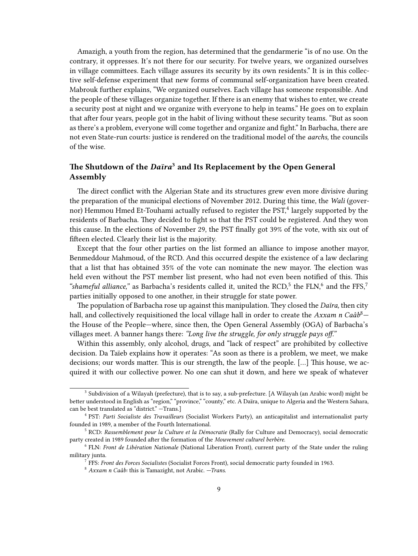Amazigh, a youth from the region, has determined that the gendarmerie "is of no use. On the contrary, it oppresses. It's not there for our security. For twelve years, we organized ourselves in village committees. Each village assures its security by its own residents." It is in this collective self-defense experiment that new forms of communal self-organization have been created. Mabrouk further explains, "We organized ourselves. Each village has someone responsible. And the people of these villages organize together. If there is an enemy that wishes to enter, we create a security post at night and we organize with everyone to help in teams." He goes on to explain that after four years, people got in the habit of living without these security teams. "But as soon as there's a problem, everyone will come together and organize and fight." In Barbacha, there are not even State-run courts: justice is rendered on the traditional model of the *aarchs,* the councils of the wise.

## <span id="page-8-0"></span>**The Shutdown of the** *Daïra***<sup>3</sup> and Its Replacement by the Open General Assembly**

The direct conflict with the Algerian State and its structures grew even more divisive during the preparation of the municipal elections of November 2012. During this time, the *Wali* (governor) Hemmou Hmed Et-Touhami actually refused to register the PST, $^4$  largely supported by the residents of Barbacha. They decided to fight so that the PST could be registered. And they won this cause. In the elections of November 29, the PST finally got 39% of the vote, with six out of fifteen elected. Clearly their list is the majority.

Except that the four other parties on the list formed an alliance to impose another mayor, Benmeddour Mahmoud, of the RCD. And this occurred despite the existence of a law declaring that a list that has obtained 35% of the vote can nominate the new mayor. The election was held even without the PST member list present, who had not even been notified of this. This "shameful alliance," as Barbacha's residents called it, united the RCD, $5$  the FLN, $6$  and the FFS, $7$ parties initially opposed to one another, in their struggle for state power.

The population of Barbacha rose up against this manipulation. They closed the *Daïra,* then city hall, and collectively requisitioned the local village hall in order to create the *Axxam n Caâb*8 the House of the People—where, since then, the Open General Assembly (OGA) of Barbacha's villages meet. A banner hangs there: *"Long live the struggle, for only struggle pays off."*

Within this assembly, only alcohol, drugs, and "lack of respect" are prohibited by collective decision. Da Taïeb explains how it operates: "As soon as there is a problem, we meet, we make decisions; our words matter. This is our strength, the law of the people. […] This house, we acquired it with our collective power. No one can shut it down, and here we speak of whatever

<sup>&</sup>lt;sup>3</sup> Subdivision of a Wilayah (prefecture), that is to say, a sub-prefecture. [A Wilayah (an Arabic word) might be better understood in English as "region," "province," "county," etc. A Daïra, unique to Algeria and the Western Sahara, can be best translated as "district." —Trans.]

<sup>4</sup> PST: *Parti Socialiste des Travailleurs* (Socialist Workers Party), an anticapitalist and internationalist party founded in 1989, a member of the Fourth International.

<sup>5</sup> RCD: *Rassemblement pour la Culture et la Démocratie* (Rally for Culture and Democracy), social democratic party created in 1989 founded after the formation of the *Mouvement culturel berbère.*

<sup>6</sup> FLN: *Front de Libération Nationale* (National Liberation Front), current party of the State under the ruling military junta.

<sup>7</sup> FFS: *Front des Forces Socialistes* (Socialist Forces Front), social democratic party founded in 1963.

<sup>8</sup> *Axxam n Caâb:* this is Tamazight, not Arabic. *—Trans.*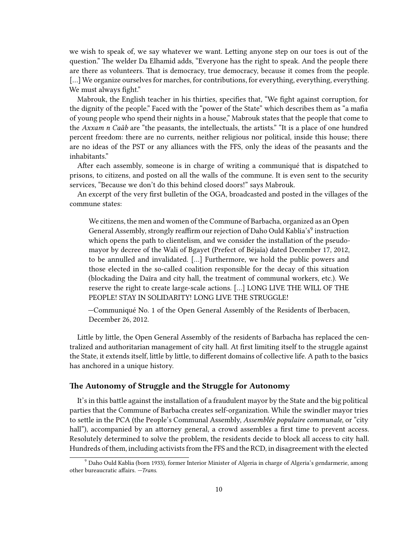we wish to speak of, we say whatever we want. Letting anyone step on our toes is out of the question." The welder Da Elhamid adds, "Everyone has the right to speak. And the people there are there as volunteers. That is democracy, true democracy, because it comes from the people. [...] We organize ourselves for marches, for contributions, for everything, everything, everything. We must always fight."

Mabrouk, the English teacher in his thirties, specifies that, "We fight against corruption, for the dignity of the people." Faced with the "power of the State" which describes them as "a mafia of young people who spend their nights in a house," Mabrouk states that the people that come to the *Axxam n Caâb* are "the peasants, the intellectuals, the artists." "It is a place of one hundred percent freedom: there are no currents, neither religious nor political, inside this house; there are no ideas of the PST or any alliances with the FFS, only the ideas of the peasants and the inhabitants."

After each assembly, someone is in charge of writing a communiqué that is dispatched to prisons, to citizens, and posted on all the walls of the commune. It is even sent to the security services, "Because we don't do this behind closed doors!" says Mabrouk.

An excerpt of the very first bulletin of the OGA, broadcasted and posted in the villages of the commune states:

We citizens, the men and women of the Commune of Barbacha, organized as an Open General Assembly, strongly reaffirm our rejection of Daho Ould Kablia's<sup>9</sup> instruction which opens the path to clientelism, and we consider the installation of the pseudomayor by decree of the Wali of Bgayet (Prefect of Béjaïa) dated December 17, 2012, to be annulled and invalidated. […] Furthermore, we hold the public powers and those elected in the so-called coalition responsible for the decay of this situation (blockading the Daïra and city hall, the treatment of communal workers, etc.). We reserve the right to create large-scale actions. […] LONG LIVE THE WILL OF THE PEOPLE! STAY IN SOLIDARITY! LONG LIVE THE STRUGGLE!

—Communiqué No. 1 of the Open General Assembly of the Residents of Iberbacen, December 26, 2012.

Little by little, the Open General Assembly of the residents of Barbacha has replaced the centralized and authoritarian management of city hall. At first limiting itself to the struggle against the State, it extends itself, little by little, to different domains of collective life. A path to the basics has anchored in a unique history.

## <span id="page-9-0"></span>**The Autonomy of Struggle and the Struggle for Autonomy**

It's in this battle against the installation of a fraudulent mayor by the State and the big political parties that the Commune of Barbacha creates self-organization. While the swindler mayor tries to settle in the PCA (the People's Communal Assembly, *Assemblée populaire communale,* or "city hall"), accompanied by an attorney general, a crowd assembles a first time to prevent access. Resolutely determined to solve the problem, the residents decide to block all access to city hall. Hundreds of them, including activists from the FFS and the RCD, in disagreement with the elected

<sup>9</sup> Daho Ould Kablia (born 1933), former Interior Minister of Algeria in charge of Algeria's gendarmerie, among other bureaucratic affairs. *—Trans.*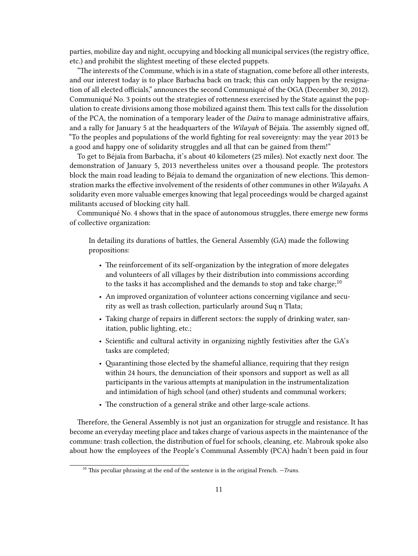parties, mobilize day and night, occupying and blocking all municipal services (the registry office, etc.) and prohibit the slightest meeting of these elected puppets.

"The interests of the Commune, which is in a state of stagnation, come before all other interests, and our interest today is to place Barbacha back on track; this can only happen by the resignation of all elected officials," announces the second Communiqué of the OGA (December 30, 2012). Communiqué No. 3 points out the strategies of rottenness exercised by the State against the population to create divisions among those mobilized against them. This text calls for the dissolution of the PCA, the nomination of a temporary leader of the *Daïra* to manage administrative affairs, and a rally for January 5 at the headquarters of the *Wilayah* of Béjaïa. The assembly signed off, "To the peoples and populations of the world fighting for real sovereignty: may the year 2013 be a good and happy one of solidarity struggles and all that can be gained from them!"

To get to Béjaïa from Barbacha, it's about 40 kilometers (25 miles). Not exactly next door. The demonstration of January 5, 2013 nevertheless unites over a thousand people. The protestors block the main road leading to Béjaïa to demand the organization of new elections. This demonstration marks the effective involvement of the residents of other communes in other *Wilayahs.* A solidarity even more valuable emerges knowing that legal proceedings would be charged against militants accused of blocking city hall.

Communiqué No. 4 shows that in the space of autonomous struggles, there emerge new forms of collective organization:

In detailing its durations of battles, the General Assembly (GA) made the following propositions:

- The reinforcement of its self-organization by the integration of more delegates and volunteers of all villages by their distribution into commissions according to the tasks it has accomplished and the demands to stop and take charge;<sup>10</sup>
- An improved organization of volunteer actions concerning vigilance and security as well as trash collection, particularly around Suq n Tlata;
- Taking charge of repairs in different sectors: the supply of drinking water, sanitation, public lighting, etc.;
- Scientific and cultural activity in organizing nightly festivities after the GA's tasks are completed;
- Quarantining those elected by the shameful alliance, requiring that they resign within 24 hours, the denunciation of their sponsors and support as well as all participants in the various attempts at manipulation in the instrumentalization and intimidation of high school (and other) students and communal workers;
- The construction of a general strike and other large-scale actions.

Therefore, the General Assembly is not just an organization for struggle and resistance. It has become an everyday meeting place and takes charge of various aspects in the maintenance of the commune: trash collection, the distribution of fuel for schools, cleaning, etc. Mabrouk spoke also about how the employees of the People's Communal Assembly (PCA) hadn't been paid in four

<sup>10</sup> This peculiar phrasing at the end of the sentence is in the original French. *—Trans.*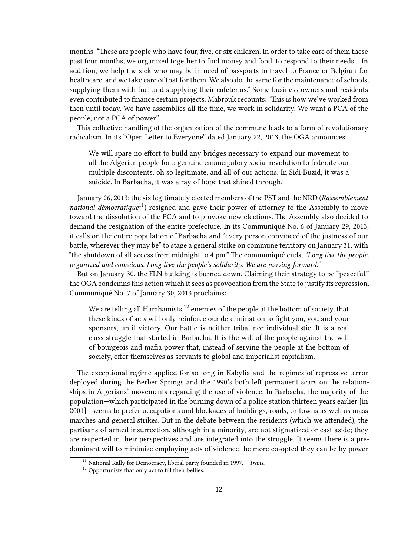months: "These are people who have four, five, or six children. In order to take care of them these past four months, we organized together to find money and food, to respond to their needs… In addition, we help the sick who may be in need of passports to travel to France or Belgium for healthcare, and we take care of that for them. We also do the same for the maintenance of schools, supplying them with fuel and supplying their cafeterias." Some business owners and residents even contributed to finance certain projects. Mabrouk recounts: "This is how we've worked from then until today. We have assemblies all the time, we work in solidarity. We want a PCA of the people, not a PCA of power."

This collective handling of the organization of the commune leads to a form of revolutionary radicalism. In its "Open Letter to Everyone" dated January 22, 2013, the OGA announces:

We will spare no effort to build any bridges necessary to expand our movement to all the Algerian people for a genuine emancipatory social revolution to federate our multiple discontents, oh so legitimate, and all of our actions. In Sidi Buzid, it was a suicide. In Barbacha, it was a ray of hope that shined through.

January 26, 2013: the six legitimately elected members of the PST and the NRD (*Rassemblement national démocratique*<sup>11</sup>) resigned and gave their power of attorney to the Assembly to move toward the dissolution of the PCA and to provoke new elections. The Assembly also decided to demand the resignation of the entire prefecture. In its Communiqué No. 6 of January 29, 2013, it calls on the entire population of Barbacha and "every person convinced of the justness of our battle, wherever they may be" to stage a general strike on commune territory on January 31, with "the shutdown of all access from midnight to 4 pm." The communiqué ends, *"Long live the people, organized and conscious. Long live the people's solidarity. We are moving forward."*

But on January 30, the FLN building is burned down. Claiming their strategy to be "peaceful," the OGA condemns this action which it sees as provocation from the State to justify its repression. Communiqué No. 7 of January 30, 2013 proclaims:

We are telling all Hamhamists, $12$  enemies of the people at the bottom of society, that these kinds of acts will only reinforce our determination to fight you, you and your sponsors, until victory. Our battle is neither tribal nor individualistic. It is a real class struggle that started in Barbacha. It is the will of the people against the will of bourgeois and mafia power that, instead of serving the people at the bottom of society, offer themselves as servants to global and imperialist capitalism.

The exceptional regime applied for so long in Kabylia and the regimes of repressive terror deployed during the Berber Springs and the 1990's both left permanent scars on the relationships in Algerians' movements regarding the use of violence. In Barbacha, the majority of the population—which participated in the burning down of a police station thirteen years earlier [in 2001]—seems to prefer occupations and blockades of buildings, roads, or towns as well as mass marches and general strikes. But in the debate between the residents (which we attended), the partisans of armed insurrection, although in a minority, are not stigmatized or cast aside; they are respected in their perspectives and are integrated into the struggle. It seems there is a predominant will to minimize employing acts of violence the more co-opted they can be by power

<sup>&</sup>lt;sup>11</sup> National Rally for Democracy, liberal party founded in 1997. *-Trans.* 

<sup>&</sup>lt;sup>12</sup> Opportunists that only act to fill their bellies.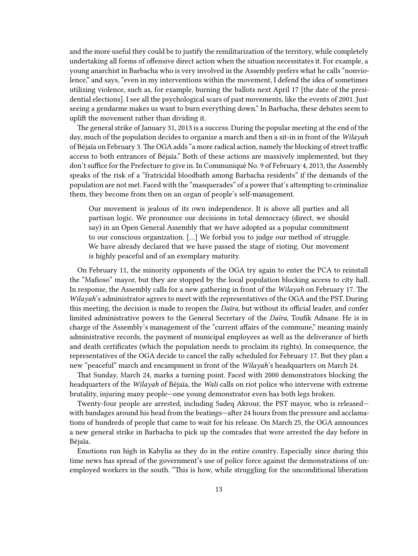and the more useful they could be to justify the remilitarization of the territory, while completely undertaking all forms of offensive direct action when the situation necessitates it. For example, a young anarchist in Barbacha who is very involved in the Assembly prefers what he calls "nonviolence," and says, "even in my interventions within the movement, I defend the idea of sometimes utilizing violence, such as, for example, burning the ballots next April 17 [the date of the presidential elections]. I see all the psychological scars of past movements, like the events of 2001. Just seeing a gendarme makes us want to burn everything down." In Barbacha, these debates seem to uplift the movement rather than dividing it.

The general strike of January 31, 2013 is a success. During the popular meeting at the end of the day, much of the population decides to organize a march and then a sit-in in front of the *Wilayah* of Béjaïa on February 3. The OGA adds "a more radical action, namely the blocking of street traffic access to both entrances of Béjaïa." Both of these actions are massively implemented, but they don't suffice for the Prefecture to give in. In Communiqué No. 9 of February 4, 2013, the Assembly speaks of the risk of a "fratricidal bloodbath among Barbacha residents" if the demands of the population are not met. Faced with the "masquerades" of a power that's attempting to criminalize them, they become from then on an organ of people's self-management.

Our movement is jealous of its own independence. It is above all parties and all partisan logic. We pronounce our decisions in total democracy (direct, we should say) in an Open General Assembly that we have adopted as a popular commitment to our conscious organization. […] We forbid you to judge our method of struggle. We have already declared that we have passed the stage of rioting. Our movement is highly peaceful and of an exemplary maturity.

On February 11, the minority opponents of the OGA try again to enter the PCA to reinstall the "Mafioso" mayor, but they are stopped by the local population blocking access to city hall. In response, the Assembly calls for a new gathering in front of the *Wilayah* on February 17. The *Wilayah*'s administrator agrees to meet with the representatives of the OGA and the PST. During this meeting, the decision is made to reopen the *Daïra,* but without its official leader, and confer limited administrative powers to the General Secretary of the *Daïra,* Toufik Adnane. He is in charge of the Assembly's management of the "current affairs of the commune," meaning mainly administrative records, the payment of municipal employees as well as the deliverance of birth and death certificates (which the population needs to proclaim its rights). In consequence, the representatives of the OGA decide to cancel the rally scheduled for February 17. But they plan a new "peaceful" march and encampment in front of the *Wilayah*'s headquarters on March 24.

That Sunday, March 24, marks a turning point. Faced with 2000 demonstrators blocking the headquarters of the *Wilayah* of Béjaïa, the *Wali* calls on riot police who intervene with extreme brutality, injuring many people—one young demonstrator even has both legs broken.

Twenty-four people are arrested, including Sadeq Akrour, the PST mayor, who is released with bandages around his head from the beatings—after 24 hours from the pressure and acclamations of hundreds of people that came to wait for his release. On March 25, the OGA announces a new general strike in Barbacha to pick up the comrades that were arrested the day before in Béjaïa.

Emotions run high in Kabylia as they do in the entire country. Especially since during this time news has spread of the government's use of police force against the demonstrations of unemployed workers in the south. "This is how, while struggling for the unconditional liberation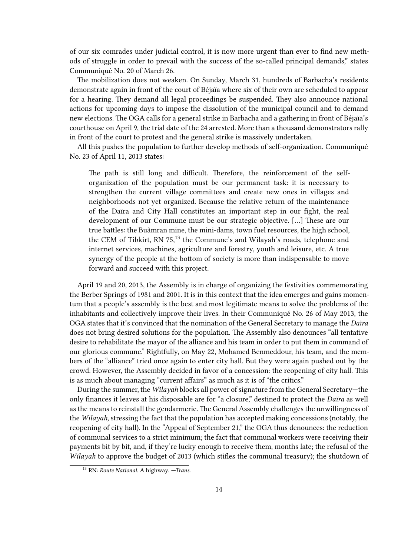of our six comrades under judicial control, it is now more urgent than ever to find new methods of struggle in order to prevail with the success of the so-called principal demands," states Communiqué No. 20 of March 26.

The mobilization does not weaken. On Sunday, March 31, hundreds of Barbacha's residents demonstrate again in front of the court of Béjaïa where six of their own are scheduled to appear for a hearing. They demand all legal proceedings be suspended. They also announce national actions for upcoming days to impose the dissolution of the municipal council and to demand new elections. The OGA calls for a general strike in Barbacha and a gathering in front of Béjaïa's courthouse on April 9, the trial date of the 24 arrested. More than a thousand demonstrators rally in front of the court to protest and the general strike is massively undertaken.

All this pushes the population to further develop methods of self-organization. Communiqué No. 23 of April 11, 2013 states:

The path is still long and difficult. Therefore, the reinforcement of the selforganization of the population must be our permanent task: it is necessary to strengthen the current village committees and create new ones in villages and neighborhoods not yet organized. Because the relative return of the maintenance of the Daïra and City Hall constitutes an important step in our fight, the real development of our Commune must be our strategic objective. […] These are our true battles: the Buâmran mine, the mini-dams, town fuel resources, the high school, the CEM of Tibkirt, RN  $75$ ,<sup>13</sup> the Commune's and Wilayah's roads, telephone and internet services, machines, agriculture and forestry, youth and leisure, etc. A true synergy of the people at the bottom of society is more than indispensable to move forward and succeed with this project.

April 19 and 20, 2013, the Assembly is in charge of organizing the festivities commemorating the Berber Springs of 1981 and 2001. It is in this context that the idea emerges and gains momentum that a people's assembly is the best and most legitimate means to solve the problems of the inhabitants and collectively improve their lives. In their Communiqué No. 26 of May 2013, the OGA states that it's convinced that the nomination of the General Secretary to manage the *Daïra* does not bring desired solutions for the population. The Assembly also denounces "all tentative desire to rehabilitate the mayor of the alliance and his team in order to put them in command of our glorious commune." Rightfully, on May 22, Mohamed Benmeddour, his team, and the members of the "alliance" tried once again to enter city hall. But they were again pushed out by the crowd. However, the Assembly decided in favor of a concession: the reopening of city hall. This is as much about managing "current affairs" as much as it is of "the critics."

During the summer, the *Wilayah* blocks all power of signature from the General Secretary—the only finances it leaves at his disposable are for "a closure," destined to protect the *Daïra* as well as the means to reinstall the gendarmerie. The General Assembly challenges the unwillingness of the *Wilayah,*stressing the fact that the population has accepted making concessions (notably, the reopening of city hall). In the "Appeal of September 21," the OGA thus denounces: the reduction of communal services to a strict minimum; the fact that communal workers were receiving their payments bit by bit, and, if they're lucky enough to receive them, months late; the refusal of the *Wilayah* to approve the budget of 2013 (which stifles the communal treasury); the shutdown of

<sup>13</sup> RN: *Route National.* A highway. *—Trans.*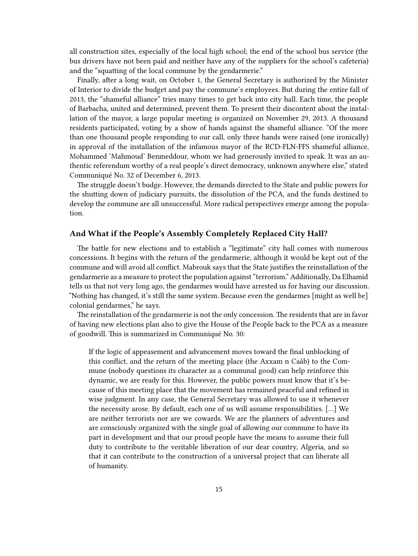all construction sites, especially of the local high school; the end of the school bus service (the bus drivers have not been paid and neither have any of the suppliers for the school's cafeteria) and the "squatting of the local commune by the gendarmerie."

Finally, after a long wait, on October 1, the General Secretary is authorized by the Minister of Interior to divide the budget and pay the commune's employees. But during the entire fall of 2013, the "shameful alliance" tries many times to get back into city hall. Each time, the people of Barbacha, united and determined, prevent them. To present their discontent about the installation of the mayor, a large popular meeting is organized on November 29, 2013. A thousand residents participated, voting by a show of hands against the shameful alliance. "Of the more than one thousand people responding to our call, only three hands were raised (one ironically) in approval of the installation of the infamous mayor of the RCD-FLN-FFS shameful alliance, Mohammed 'Mahmoud' Benmeddour, whom we had generously invited to speak. It was an authentic referendum worthy of a real people's direct democracy, unknown anywhere else," stated Communiqué No. 32 of December 6, 2013.

The struggle doesn't budge. However, the demands directed to the State and public powers for the shutting down of judiciary pursuits, the dissolution of the PCA, and the funds destined to develop the commune are all unsuccessful. More radical perspectives emerge among the population.

### <span id="page-14-0"></span>**And What if the People's Assembly Completely Replaced City Hall?**

The battle for new elections and to establish a "legitimate" city hall comes with numerous concessions. It begins with the return of the gendarmerie, although it would be kept out of the commune and will avoid all conflict. Mabrouk says that the State justifies the reinstallation of the gendarmerie as a measure to protect the population against "terrorism." Additionally, Da Elhamid tells us that not very long ago, the gendarmes would have arrested us for having our discussion. "Nothing has changed, it's still the same system. Because even the gendarmes [might as well be] colonial gendarmes," he says.

The reinstallation of the gendarmerie is not the only concession. The residents that are in favor of having new elections plan also to give the House of the People back to the PCA as a measure of goodwill. This is summarized in Communiqué No. 30:

If the logic of appeasement and advancement moves toward the final unblocking of this conflict, and the return of the meeting place (the Axxam n Caâb) to the Commune (nobody questions its character as a communal good) can help reinforce this dynamic, we are ready for this. However, the public powers must know that it's because of this meeting place that the movement has remained peaceful and refined in wise judgment. In any case, the General Secretary was allowed to use it whenever the necessity arose. By default, each one of us will assume responsibilities. […] We are neither terrorists nor are we cowards. We are the planners of adventures and are consciously organized with the single goal of allowing our commune to have its part in development and that our proud people have the means to assume their full duty to contribute to the veritable liberation of our dear country, Algeria, and so that it can contribute to the construction of a universal project that can liberate all of humanity.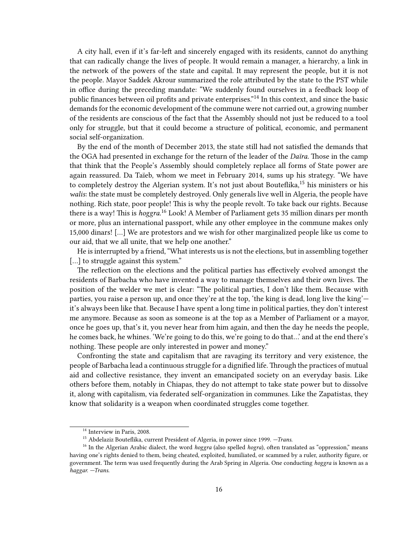A city hall, even if it's far-left and sincerely engaged with its residents, cannot do anything that can radically change the lives of people. It would remain a manager, a hierarchy, a link in the network of the powers of the state and capital. It may represent the people, but it is not the people. Mayor Saddek Akrour summarized the role attributed by the state to the PST while in office during the preceding mandate: "We suddenly found ourselves in a feedback loop of public finances between oil profits and private enterprises."<sup>14</sup> In this context, and since the basic demands for the economic development of the commune were not carried out, a growing number of the residents are conscious of the fact that the Assembly should not just be reduced to a tool only for struggle, but that it could become a structure of political, economic, and permanent social self-organization.

By the end of the month of December 2013, the state still had not satisfied the demands that the OGA had presented in exchange for the return of the leader of the *Daïra.* Those in the camp that think that the People's Assembly should completely replace all forms of State power are again reassured. Da Taïeb, whom we meet in February 2014, sums up his strategy. "We have to completely destroy the Algerian system. It's not just about Bouteflika,<sup>15</sup> his ministers or his *walis*: the state must be completely destroyed. Only generals live well in Algeria, the people have nothing. Rich state, poor people! This is why the people revolt. To take back our rights. Because there is a way! This is *hoggra.*<sup>16</sup> Look! A Member of Parliament gets 35 million dinars per month or more, plus an international passport, while any other employee in the commune makes only 15,000 dinars! […] We are protestors and we wish for other marginalized people like us come to our aid, that we all unite, that we help one another."

He is interrupted by a friend, "What interests us is not the elections, but in assembling together [...] to struggle against this system."

The reflection on the elections and the political parties has effectively evolved amongst the residents of Barbacha who have invented a way to manage themselves and their own lives. The position of the welder we met is clear: "The political parties, I don't like them. Because with parties, you raise a person up, and once they're at the top, 'the king is dead, long live the king' it's always been like that. Because I have spent a long time in political parties, they don't interest me anymore. Because as soon as someone is at the top as a Member of Parliament or a mayor, once he goes up, that's it, you never hear from him again, and then the day he needs the people, he comes back, he whines. 'We're going to do this, we're going to do that…' and at the end there's nothing. These people are only interested in power and money."

Confronting the state and capitalism that are ravaging its territory and very existence, the people of Barbacha lead a continuous struggle for a dignified life. Through the practices of mutual aid and collective resistance, they invent an emancipated society on an everyday basis. Like others before them, notably in Chiapas, they do not attempt to take state power but to dissolve it, along with capitalism, via federated self-organization in communes. Like the Zapatistas, they know that solidarity is a weapon when coordinated struggles come together.

<sup>&</sup>lt;sup>14</sup> Interview in Paris, 2008.

<sup>15</sup> Abdelaziz Bouteflika, current President of Algeria, in power since 1999. *—Trans.*

<sup>&</sup>lt;sup>16</sup> In the Algerian Arabic dialect, the word *hoggra* (also spelled *hogra*), often translated as "oppression," means having one's rights denied to them, being cheated, exploited, humiliated, or scammed by a ruler, authority figure, or government. The term was used frequently during the Arab Spring in Algeria. One conducting *hoggra* is known as a *haggar. —Trans.*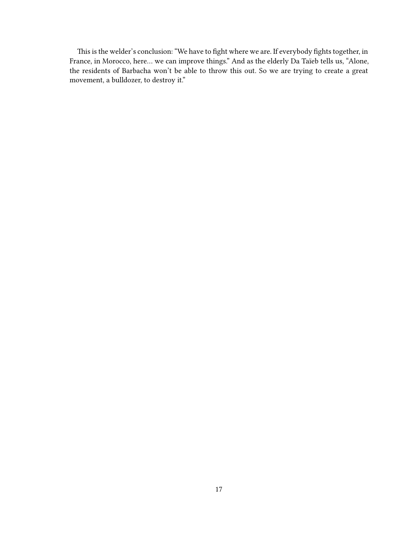This is the welder's conclusion: "We have to fight where we are. If everybody fights together, in France, in Morocco, here… we can improve things." And as the elderly Da Taïeb tells us, "Alone, the residents of Barbacha won't be able to throw this out. So we are trying to create a great movement, a bulldozer, to destroy it."